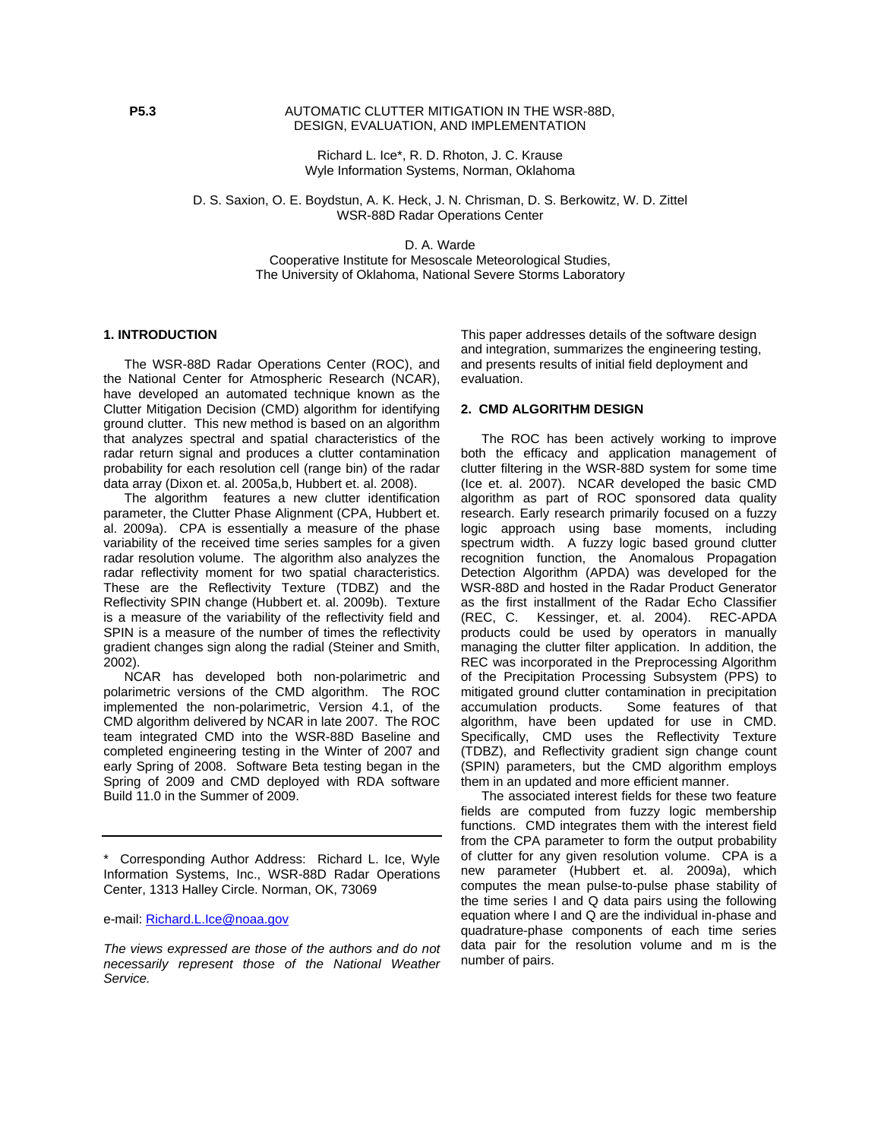## **P5.3** AUTOMATIC CLUTTER MITIGATION IN THE WSR-88D. DESIGN, EVALUATION, AND IMPLEMENTATION

Richard L. Ice\*, R. D. Rhoton, J. C. Krause Wyle Information Systems, Norman, Oklahoma

D. S. Saxion, O. E. Boydstun, A. K. Heck, J. N. Chrisman, D. S. Berkowitz, W. D. Zittel WSR-88D Radar Operations Center

D. A. Warde

Cooperative Institute for Mesoscale Meteorological Studies, The University of Oklahoma, National Severe Storms Laboratory

#### **1. INTRODUCTION**

The WSR-88D Radar Operations Center (ROC), and the National Center for Atmospheric Research (NCAR), have developed an automated technique known as the Clutter Mitigation Decision (CMD) algorithm for identifying ground clutter. This new method is based on an algorithm that analyzes spectral and spatial characteristics of the radar return signal and produces a clutter contamination probability for each resolution cell (range bin) of the radar data array (Dixon et. al. 2005a,b, Hubbert et. al. 2008).

The algorithm features a new clutter identification parameter, the Clutter Phase Alignment (CPA, Hubbert et. al. 2009a). CPA is essentially a measure of the phase variability of the received time series samples for a given radar resolution volume. The algorithm also analyzes the radar reflectivity moment for two spatial characteristics. These are the Reflectivity Texture (TDBZ) and the Reflectivity SPIN change (Hubbert et. al. 2009b). Texture is a measure of the variability of the reflectivity field and SPIN is a measure of the number of times the reflectivity gradient changes sign along the radial (Steiner and Smith, 2002).

NCAR has developed both non-polarimetric and polarimetric versions of the CMD algorithm. The ROC implemented the non-polarimetric, Version 4.1, of the CMD algorithm delivered by NCAR in late 2007. The ROC team integrated CMD into the WSR-88D Baseline and completed engineering testing in the Winter of 2007 and early Spring of 2008. Software Beta testing began in the Spring of 2009 and CMD deployed with RDA software Build 11.0 in the Summer of 2009.

This paper addresses details of the software design and integration, summarizes the engineering testing, and presents results of initial field deployment and evaluation.

#### **2. CMD ALGORITHM DESIGN**

The ROC has been actively working to improve both the efficacy and application management of clutter filtering in the WSR-88D system for some time (Ice et. al. 2007). NCAR developed the basic CMD algorithm as part of ROC sponsored data quality research. Early research primarily focused on a fuzzy logic approach using base moments, including spectrum width. A fuzzy logic based ground clutter recognition function, the Anomalous Propagation Detection Algorithm (APDA) was developed for the WSR-88D and hosted in the Radar Product Generator as the first installment of the Radar Echo Classifier (REC, C. Kessinger, et. al. 2004). REC-APDA products could be used by operators in manually managing the clutter filter application. In addition, the REC was incorporated in the Preprocessing Algorithm of the Precipitation Processing Subsystem (PPS) to mitigated ground clutter contamination in precipitation accumulation products. Some features of that algorithm, have been updated for use in CMD. Specifically, CMD uses the Reflectivity Texture (TDBZ), and Reflectivity gradient sign change count (SPIN) parameters, but the CMD algorithm employs them in an updated and more efficient manner.

The associated interest fields for these two feature fields are computed from fuzzy logic membership functions. CMD integrates them with the interest field from the CPA parameter to form the output probability of clutter for any given resolution volume. CPA is a new parameter (Hubbert et. al. 2009a), which computes the mean pulse-to-pulse phase stability of the time series I and Q data pairs using the following equation where I and Q are the individual in-phase and quadrature-phase components of each time series data pair for the resolution volume and m is the number of pairs.

<sup>\*</sup> Corresponding Author Address: Richard L. Ice, Wyle Information Systems, Inc., WSR-88D Radar Operations Center, 1313 Halley Circle. Norman, OK, 73069

e-mail: Richard.L.Ice@noaa.gov

*The views expressed are those of the authors and do not necessarily represent those of the National Weather Service.*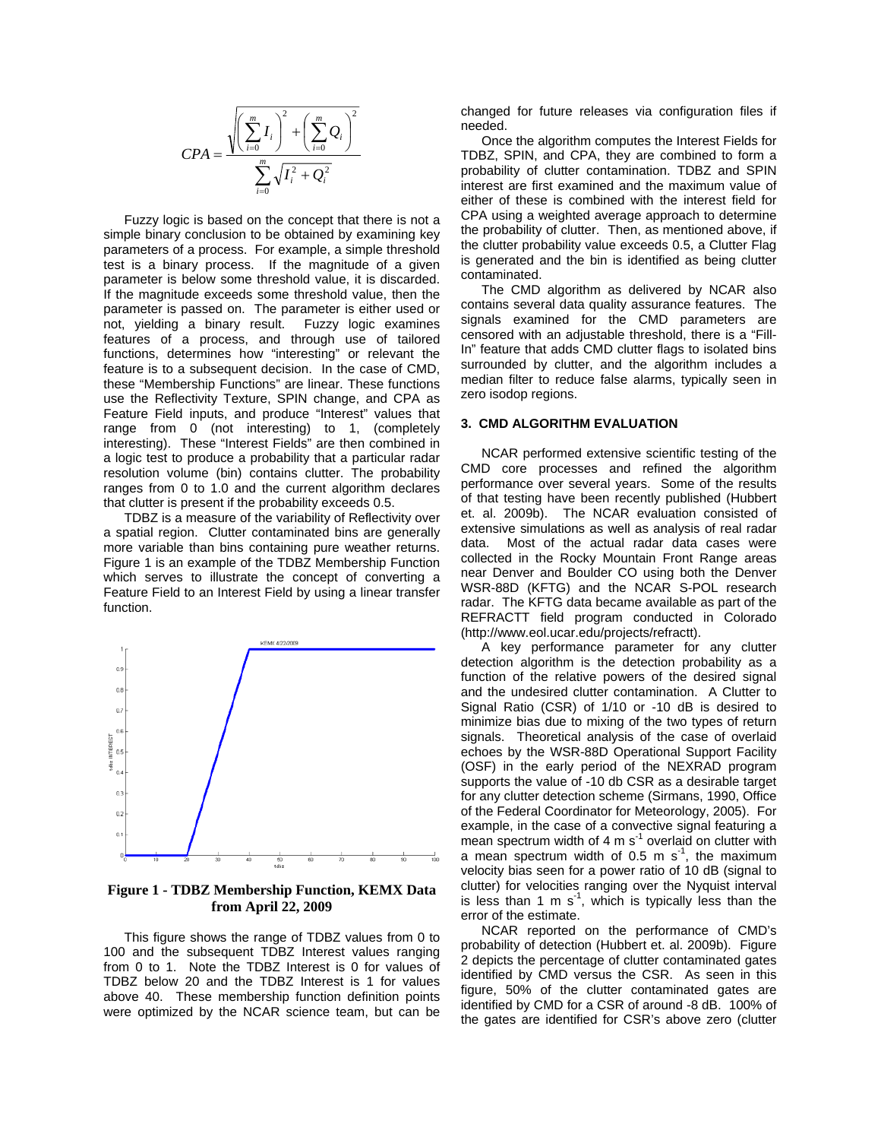$$
CPA = \frac{\sqrt{\left(\sum_{i=0}^{m} I_i\right)^2 + \left(\sum_{i=0}^{m} Q_i\right)^2}}{\sum_{i=0}^{m} \sqrt{I_i^2 + Q_i^2}}
$$

Fuzzy logic is based on the concept that there is not a simple binary conclusion to be obtained by examining key parameters of a process. For example, a simple threshold test is a binary process. If the magnitude of a given parameter is below some threshold value, it is discarded. If the magnitude exceeds some threshold value, then the parameter is passed on. The parameter is either used or not, yielding a binary result. Fuzzy logic examines features of a process, and through use of tailored functions, determines how "interesting" or relevant the feature is to a subsequent decision. In the case of CMD, these "Membership Functions" are linear. These functions use the Reflectivity Texture, SPIN change, and CPA as Feature Field inputs, and produce "Interest" values that range from 0 (not interesting) to 1, (completely interesting). These "Interest Fields" are then combined in a logic test to produce a probability that a particular radar resolution volume (bin) contains clutter. The probability ranges from 0 to 1.0 and the current algorithm declares that clutter is present if the probability exceeds 0.5.

TDBZ is a measure of the variability of Reflectivity over a spatial region. Clutter contaminated bins are generally more variable than bins containing pure weather returns. Figure 1 is an example of the TDBZ Membership Function which serves to illustrate the concept of converting a Feature Field to an Interest Field by using a linear transfer function.



**Figure 1 - TDBZ Membership Function, KEMX Data from April 22, 2009** 

This figure shows the range of TDBZ values from 0 to 100 and the subsequent TDBZ Interest values ranging from 0 to 1. Note the TDBZ Interest is 0 for values of TDBZ below 20 and the TDBZ Interest is 1 for values above 40. These membership function definition points were optimized by the NCAR science team, but can be

changed for future releases via configuration files if needed.

Once the algorithm computes the Interest Fields for TDBZ, SPIN, and CPA, they are combined to form a probability of clutter contamination. TDBZ and SPIN interest are first examined and the maximum value of either of these is combined with the interest field for CPA using a weighted average approach to determine the probability of clutter. Then, as mentioned above, if the clutter probability value exceeds 0.5, a Clutter Flag is generated and the bin is identified as being clutter contaminated.

The CMD algorithm as delivered by NCAR also contains several data quality assurance features. The signals examined for the CMD parameters are censored with an adjustable threshold, there is a "Fill-In" feature that adds CMD clutter flags to isolated bins surrounded by clutter, and the algorithm includes a median filter to reduce false alarms, typically seen in zero isodop regions.

#### **3. CMD ALGORITHM EVALUATION**

NCAR performed extensive scientific testing of the CMD core processes and refined the algorithm performance over several years. Some of the results of that testing have been recently published (Hubbert et. al. 2009b). The NCAR evaluation consisted of extensive simulations as well as analysis of real radar data. Most of the actual radar data cases were collected in the Rocky Mountain Front Range areas near Denver and Boulder CO using both the Denver WSR-88D (KFTG) and the NCAR S-POL research radar. The KFTG data became available as part of the REFRACTT field program conducted in Colorado (http://www.eol.ucar.edu/projects/refractt).

A key performance parameter for any clutter detection algorithm is the detection probability as a function of the relative powers of the desired signal and the undesired clutter contamination. A Clutter to Signal Ratio (CSR) of 1/10 or -10 dB is desired to minimize bias due to mixing of the two types of return signals. Theoretical analysis of the case of overlaid echoes by the WSR-88D Operational Support Facility (OSF) in the early period of the NEXRAD program supports the value of -10 db CSR as a desirable target for any clutter detection scheme (Sirmans, 1990, Office of the Federal Coordinator for Meteorology, 2005). For example, in the case of a convective signal featuring a mean spectrum width of 4 m  $s<sup>-1</sup>$  overlaid on clutter with a mean spectrum width of 0.5 m s<sup>-1</sup>, the maximum velocity bias seen for a power ratio of 10 dB (signal to clutter) for velocities ranging over the Nyquist interval is less than 1 m  $s^{-1}$ , which is typically less than the error of the estimate.

NCAR reported on the performance of CMD's probability of detection (Hubbert et. al. 2009b). Figure 2 depicts the percentage of clutter contaminated gates identified by CMD versus the CSR. As seen in this figure, 50% of the clutter contaminated gates are identified by CMD for a CSR of around -8 dB. 100% of the gates are identified for CSR's above zero (clutter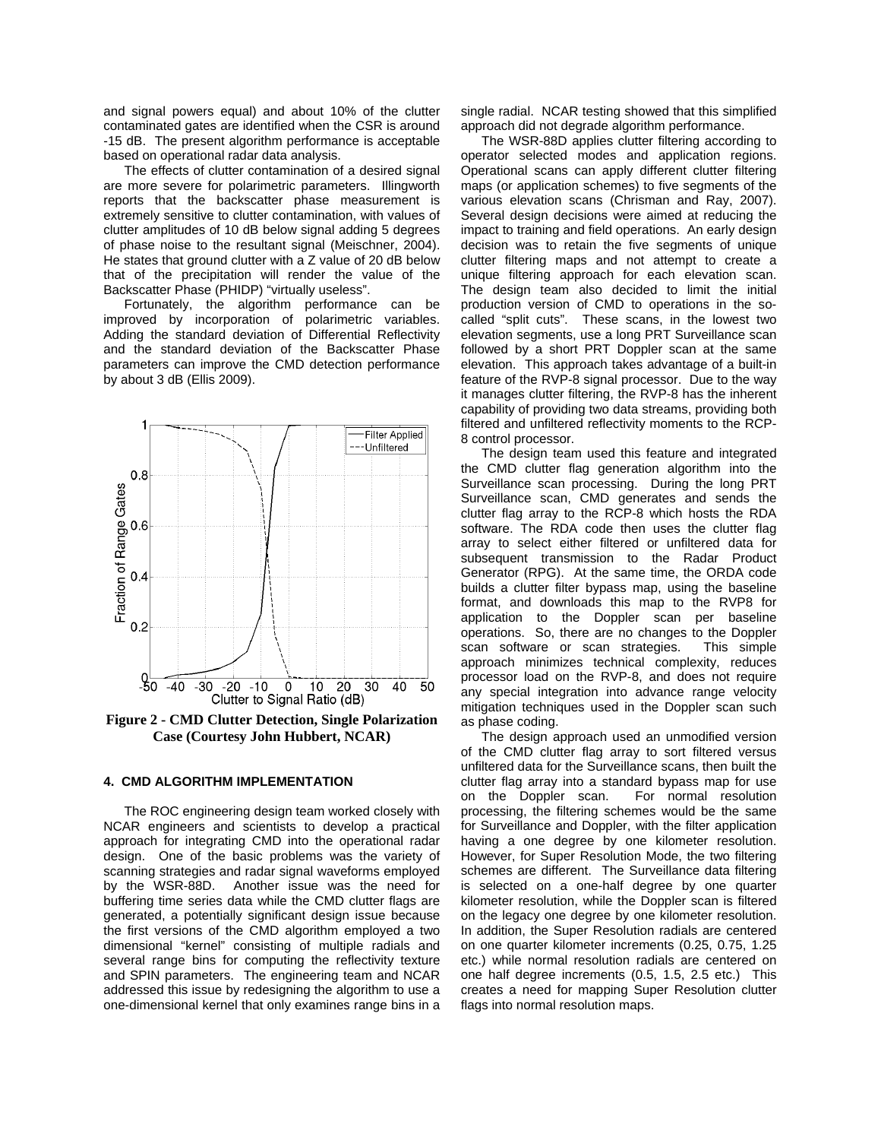and signal powers equal) and about 10% of the clutter contaminated gates are identified when the CSR is around -15 dB. The present algorithm performance is acceptable based on operational radar data analysis.

The effects of clutter contamination of a desired signal are more severe for polarimetric parameters. Illingworth reports that the backscatter phase measurement is extremely sensitive to clutter contamination, with values of clutter amplitudes of 10 dB below signal adding 5 degrees of phase noise to the resultant signal (Meischner, 2004). He states that ground clutter with a Z value of 20 dB below that of the precipitation will render the value of the Backscatter Phase (PHIDP) "virtually useless".

Fortunately, the algorithm performance can be improved by incorporation of polarimetric variables. Adding the standard deviation of Differential Reflectivity and the standard deviation of the Backscatter Phase parameters can improve the CMD detection performance by about 3 dB (Ellis 2009).



**Figure 2 - CMD Clutter Detection, Single Polarization Case (Courtesy John Hubbert, NCAR)**

#### **4. CMD ALGORITHM IMPLEMENTATION**

The ROC engineering design team worked closely with NCAR engineers and scientists to develop a practical approach for integrating CMD into the operational radar design. One of the basic problems was the variety of scanning strategies and radar signal waveforms employed by the WSR-88D. Another issue was the need for buffering time series data while the CMD clutter flags are generated, a potentially significant design issue because the first versions of the CMD algorithm employed a two dimensional "kernel" consisting of multiple radials and several range bins for computing the reflectivity texture and SPIN parameters. The engineering team and NCAR addressed this issue by redesigning the algorithm to use a one-dimensional kernel that only examines range bins in a

single radial. NCAR testing showed that this simplified approach did not degrade algorithm performance.

The WSR-88D applies clutter filtering according to operator selected modes and application regions. Operational scans can apply different clutter filtering maps (or application schemes) to five segments of the various elevation scans (Chrisman and Ray, 2007). Several design decisions were aimed at reducing the impact to training and field operations. An early design decision was to retain the five segments of unique clutter filtering maps and not attempt to create a unique filtering approach for each elevation scan. The design team also decided to limit the initial production version of CMD to operations in the socalled "split cuts". These scans, in the lowest two elevation segments, use a long PRT Surveillance scan followed by a short PRT Doppler scan at the same elevation. This approach takes advantage of a built-in feature of the RVP-8 signal processor. Due to the way it manages clutter filtering, the RVP-8 has the inherent capability of providing two data streams, providing both filtered and unfiltered reflectivity moments to the RCP-8 control processor.

The design team used this feature and integrated the CMD clutter flag generation algorithm into the Surveillance scan processing. During the long PRT Surveillance scan, CMD generates and sends the clutter flag array to the RCP-8 which hosts the RDA software. The RDA code then uses the clutter flag array to select either filtered or unfiltered data for subsequent transmission to the Radar Product Generator (RPG). At the same time, the ORDA code builds a clutter filter bypass map, using the baseline format, and downloads this map to the RVP8 for application to the Doppler scan per baseline operations. So, there are no changes to the Doppler scan software or scan strategies. This simple approach minimizes technical complexity, reduces processor load on the RVP-8, and does not require any special integration into advance range velocity mitigation techniques used in the Doppler scan such as phase coding.

The design approach used an unmodified version of the CMD clutter flag array to sort filtered versus unfiltered data for the Surveillance scans, then built the clutter flag array into a standard bypass map for use on the Doppler scan. For normal resolution processing, the filtering schemes would be the same for Surveillance and Doppler, with the filter application having a one degree by one kilometer resolution. However, for Super Resolution Mode, the two filtering schemes are different. The Surveillance data filtering is selected on a one-half degree by one quarter kilometer resolution, while the Doppler scan is filtered on the legacy one degree by one kilometer resolution. In addition, the Super Resolution radials are centered on one quarter kilometer increments (0.25, 0.75, 1.25 etc.) while normal resolution radials are centered on one half degree increments (0.5, 1.5, 2.5 etc.) This creates a need for mapping Super Resolution clutter flags into normal resolution maps.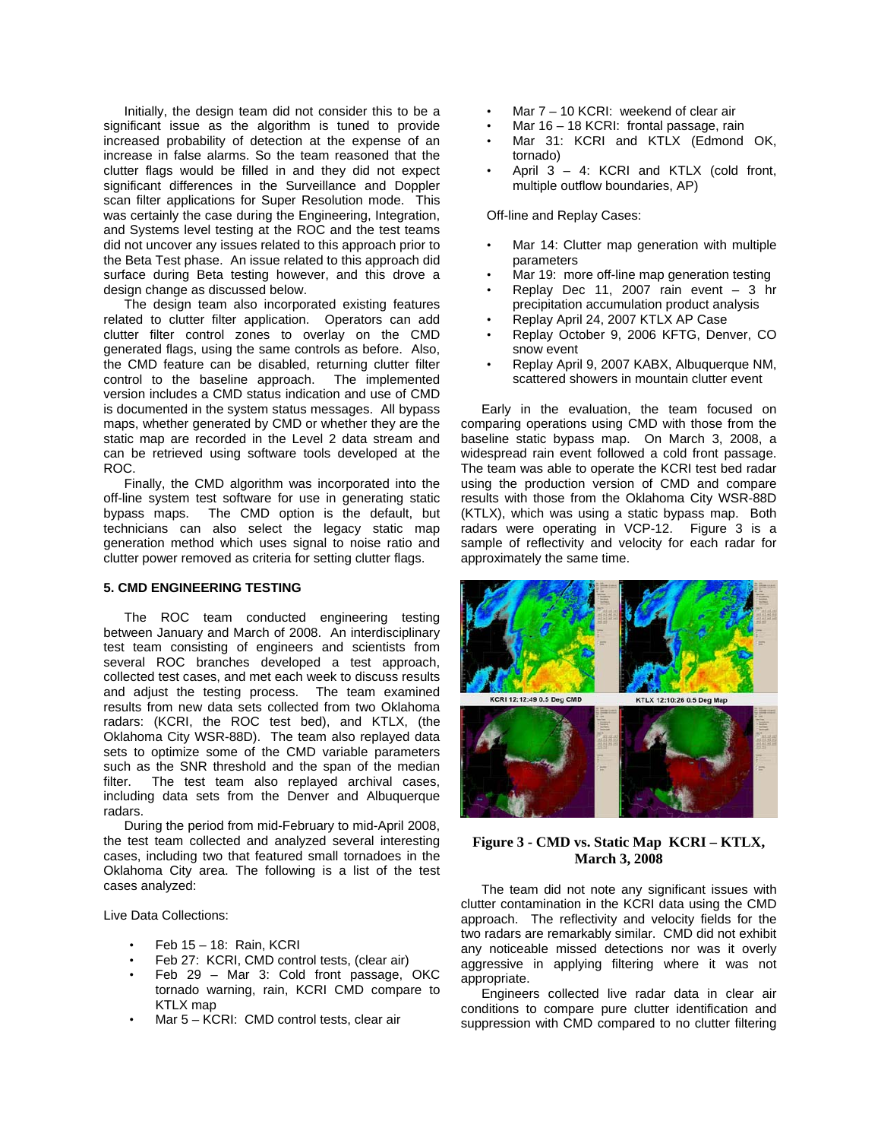Initially, the design team did not consider this to be a significant issue as the algorithm is tuned to provide increased probability of detection at the expense of an increase in false alarms. So the team reasoned that the clutter flags would be filled in and they did not expect significant differences in the Surveillance and Doppler scan filter applications for Super Resolution mode. This was certainly the case during the Engineering, Integration, and Systems level testing at the ROC and the test teams did not uncover any issues related to this approach prior to the Beta Test phase. An issue related to this approach did surface during Beta testing however, and this drove a design change as discussed below.

The design team also incorporated existing features related to clutter filter application. Operators can add clutter filter control zones to overlay on the CMD generated flags, using the same controls as before. Also, the CMD feature can be disabled, returning clutter filter control to the baseline approach. The implemented version includes a CMD status indication and use of CMD is documented in the system status messages. All bypass maps, whether generated by CMD or whether they are the static map are recorded in the Level 2 data stream and can be retrieved using software tools developed at the ROC.

Finally, the CMD algorithm was incorporated into the off-line system test software for use in generating static bypass maps. The CMD option is the default, but technicians can also select the legacy static map generation method which uses signal to noise ratio and clutter power removed as criteria for setting clutter flags.

## **5. CMD ENGINEERING TESTING**

The ROC team conducted engineering testing between January and March of 2008. An interdisciplinary test team consisting of engineers and scientists from several ROC branches developed a test approach, collected test cases, and met each week to discuss results and adjust the testing process. The team examined results from new data sets collected from two Oklahoma radars: (KCRI, the ROC test bed), and KTLX, (the Oklahoma City WSR-88D). The team also replayed data sets to optimize some of the CMD variable parameters such as the SNR threshold and the span of the median filter. The test team also replayed archival cases, including data sets from the Denver and Albuquerque radars.

During the period from mid-February to mid-April 2008, the test team collected and analyzed several interesting cases, including two that featured small tornadoes in the Oklahoma City area. The following is a list of the test cases analyzed:

Live Data Collections:

- Feb 15 18: Rain, KCRI
- Feb 27: KCRI, CMD control tests, (clear air)
- Feb 29 Mar 3: Cold front passage, OKC tornado warning, rain, KCRI CMD compare to KTLX map
- Mar 5 KCRI: CMD control tests, clear air
- Mar 7 10 KCRI: weekend of clear air
- Mar 16 18 KCRI: frontal passage, rain
- Mar 31: KCRI and KTLX (Edmond OK, tornado)
- April  $3 4$ : KCRI and KTLX (cold front, multiple outflow boundaries, AP)

Off-line and Replay Cases:

- Mar 14: Clutter map generation with multiple parameters
- Mar 19: more off-line map generation testing
- Replay Dec 11, 2007 rain event 3 hr precipitation accumulation product analysis
- Replay April 24, 2007 KTLX AP Case
- Replay October 9, 2006 KFTG, Denver, CO snow event
- Replay April 9, 2007 KABX, Albuquerque NM, scattered showers in mountain clutter event

Early in the evaluation, the team focused on comparing operations using CMD with those from the baseline static bypass map. On March 3, 2008, a widespread rain event followed a cold front passage. The team was able to operate the KCRI test bed radar using the production version of CMD and compare results with those from the Oklahoma City WSR-88D (KTLX), which was using a static bypass map. Both radars were operating in VCP-12. Figure 3 is a sample of reflectivity and velocity for each radar for approximately the same time.



# **Figure 3 - CMD vs. Static Map KCRI – KTLX, March 3, 2008**

The team did not note any significant issues with clutter contamination in the KCRI data using the CMD approach. The reflectivity and velocity fields for the two radars are remarkably similar. CMD did not exhibit any noticeable missed detections nor was it overly aggressive in applying filtering where it was not appropriate.

Engineers collected live radar data in clear air conditions to compare pure clutter identification and suppression with CMD compared to no clutter filtering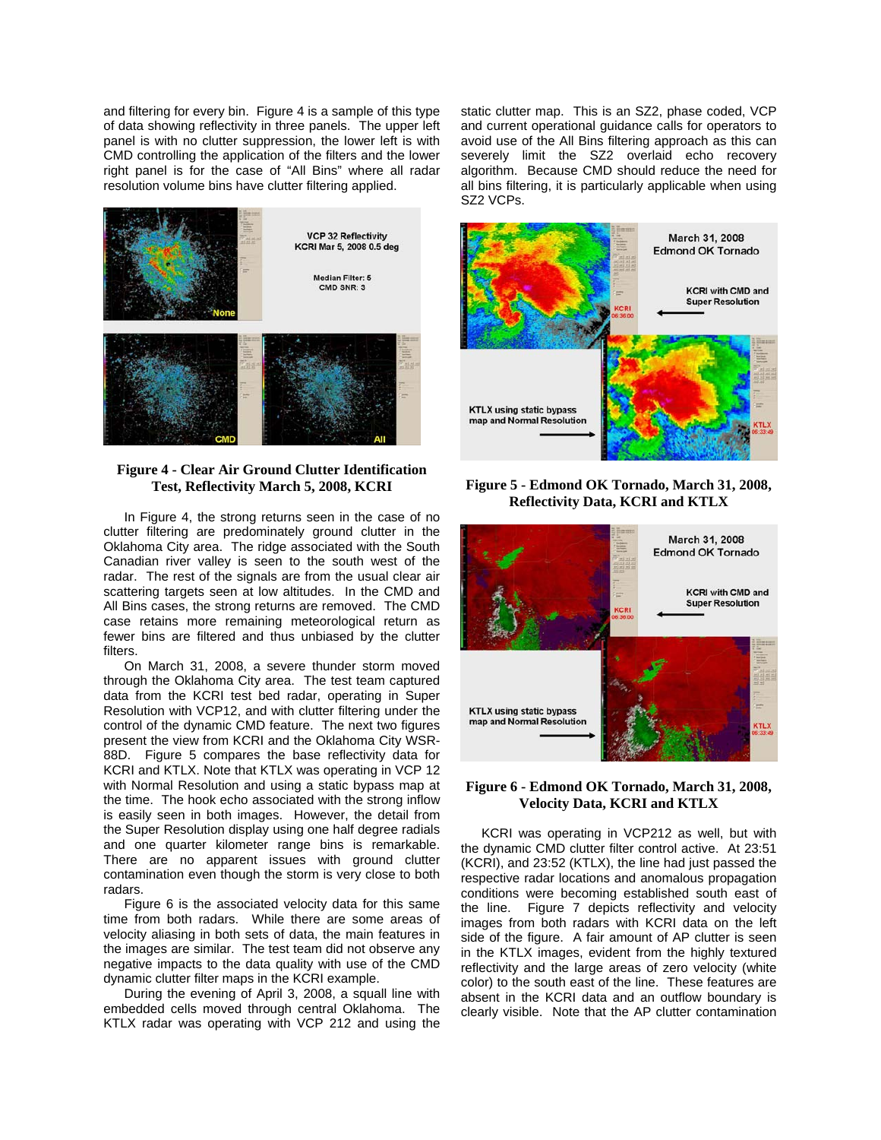and filtering for every bin. Figure 4 is a sample of this type of data showing reflectivity in three panels. The upper left panel is with no clutter suppression, the lower left is with CMD controlling the application of the filters and the lower right panel is for the case of "All Bins" where all radar resolution volume bins have clutter filtering applied.



## **Figure 4 - Clear Air Ground Clutter Identification Test, Reflectivity March 5, 2008, KCRI**

In Figure 4, the strong returns seen in the case of no clutter filtering are predominately ground clutter in the Oklahoma City area. The ridge associated with the South Canadian river valley is seen to the south west of the radar. The rest of the signals are from the usual clear air scattering targets seen at low altitudes. In the CMD and All Bins cases, the strong returns are removed. The CMD case retains more remaining meteorological return as fewer bins are filtered and thus unbiased by the clutter filters.

On March 31, 2008, a severe thunder storm moved through the Oklahoma City area. The test team captured data from the KCRI test bed radar, operating in Super Resolution with VCP12, and with clutter filtering under the control of the dynamic CMD feature. The next two figures present the view from KCRI and the Oklahoma City WSR-88D. Figure 5 compares the base reflectivity data for KCRI and KTLX. Note that KTLX was operating in VCP 12 with Normal Resolution and using a static bypass map at the time. The hook echo associated with the strong inflow is easily seen in both images. However, the detail from the Super Resolution display using one half degree radials and one quarter kilometer range bins is remarkable. There are no apparent issues with ground clutter contamination even though the storm is very close to both radars.

Figure 6 is the associated velocity data for this same time from both radars. While there are some areas of velocity aliasing in both sets of data, the main features in the images are similar. The test team did not observe any negative impacts to the data quality with use of the CMD dynamic clutter filter maps in the KCRI example.

During the evening of April 3, 2008, a squall line with embedded cells moved through central Oklahoma. The KTLX radar was operating with VCP 212 and using the static clutter map. This is an SZ2, phase coded, VCP and current operational guidance calls for operators to avoid use of the All Bins filtering approach as this can severely limit the SZ2 overlaid echo recovery algorithm. Because CMD should reduce the need for all bins filtering, it is particularly applicable when using SZ2 VCPs.



**Figure 5 - Edmond OK Tornado, March 31, 2008, Reflectivity Data, KCRI and KTLX** 



## **Figure 6 - Edmond OK Tornado, March 31, 2008, Velocity Data, KCRI and KTLX**

KCRI was operating in VCP212 as well, but with the dynamic CMD clutter filter control active. At 23:51 (KCRI), and 23:52 (KTLX), the line had just passed the respective radar locations and anomalous propagation conditions were becoming established south east of the line. Figure 7 depicts reflectivity and velocity images from both radars with KCRI data on the left side of the figure. A fair amount of AP clutter is seen in the KTLX images, evident from the highly textured reflectivity and the large areas of zero velocity (white color) to the south east of the line. These features are absent in the KCRI data and an outflow boundary is clearly visible. Note that the AP clutter contamination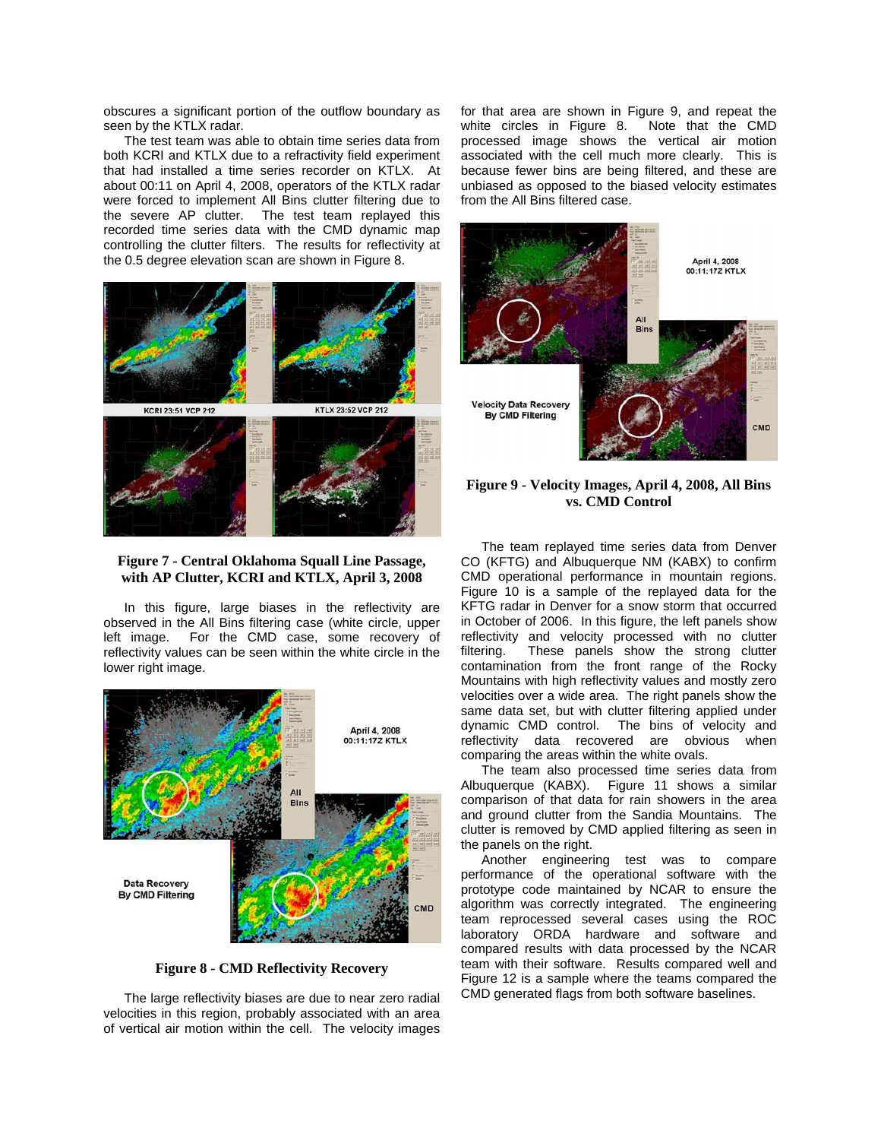obscures a significant portion of the outflow boundary as seen by the KTLX radar.

The test team was able to obtain time series data from both KCRI and KTLX due to a refractivity field experiment that had installed a time series recorder on KTLX. At about 00:11 on April 4, 2008, operators of the KTLX radar were forced to implement All Bins clutter filtering due to the severe AP clutter. The test team replayed this recorded time series data with the CMD dynamic map controlling the clutter filters. The results for reflectivity at the 0.5 degree elevation scan are shown in Figure 8.



## **Figure 7 - Central Oklahoma Squall Line Passage, with AP Clutter, KCRI and KTLX, April 3, 2008**

In this figure, large biases in the reflectivity are observed in the All Bins filtering case (white circle, upper left image. For the CMD case, some recovery of reflectivity values can be seen within the white circle in the lower right image.



**Figure 8 - CMD Reflectivity Recovery** 

The large reflectivity biases are due to near zero radial velocities in this region, probably associated with an area of vertical air motion within the cell. The velocity images

for that area are shown in Figure 9, and repeat the white circles in Figure 8. processed image shows the vertical air motion associated with the cell much more clearly. This is because fewer bins are being filtered, and these are unbiased as opposed to the biased velocity estimates from the All Bins filtered case.



**Figure 9 - Velocity Images, April 4, 2008, All Bins vs. CMD Control**

The team replayed time series data from Denver CO (KFTG) and Albuquerque NM (KABX) to confirm CMD operational performance in mountain regions. Figure 10 is a sample of the replayed data for the KFTG radar in Denver for a snow storm that occurred in October of 2006. In this figure, the left panels show reflectivity and velocity processed with no clutter filtering. These panels show the strong clutter contamination from the front range of the Rocky Mountains with high reflectivity values and mostly zero velocities over a wide area. The right panels show the same data set, but with clutter filtering applied under dynamic CMD control. The bins of velocity and reflectivity data recovered are obvious when comparing the areas within the white ovals.

The team also processed time series data from Albuquerque (KABX). Figure 11 shows a similar comparison of that data for rain showers in the area and ground clutter from the Sandia Mountains. The clutter is removed by CMD applied filtering as seen in the panels on the right.

Another engineering test was to compare performance of the operational software with the prototype code maintained by NCAR to ensure the algorithm was correctly integrated. The engineering team reprocessed several cases using the ROC laboratory ORDA hardware and software and compared results with data processed by the NCAR team with their software. Results compared well and Figure 12 is a sample where the teams compared the CMD generated flags from both software baselines.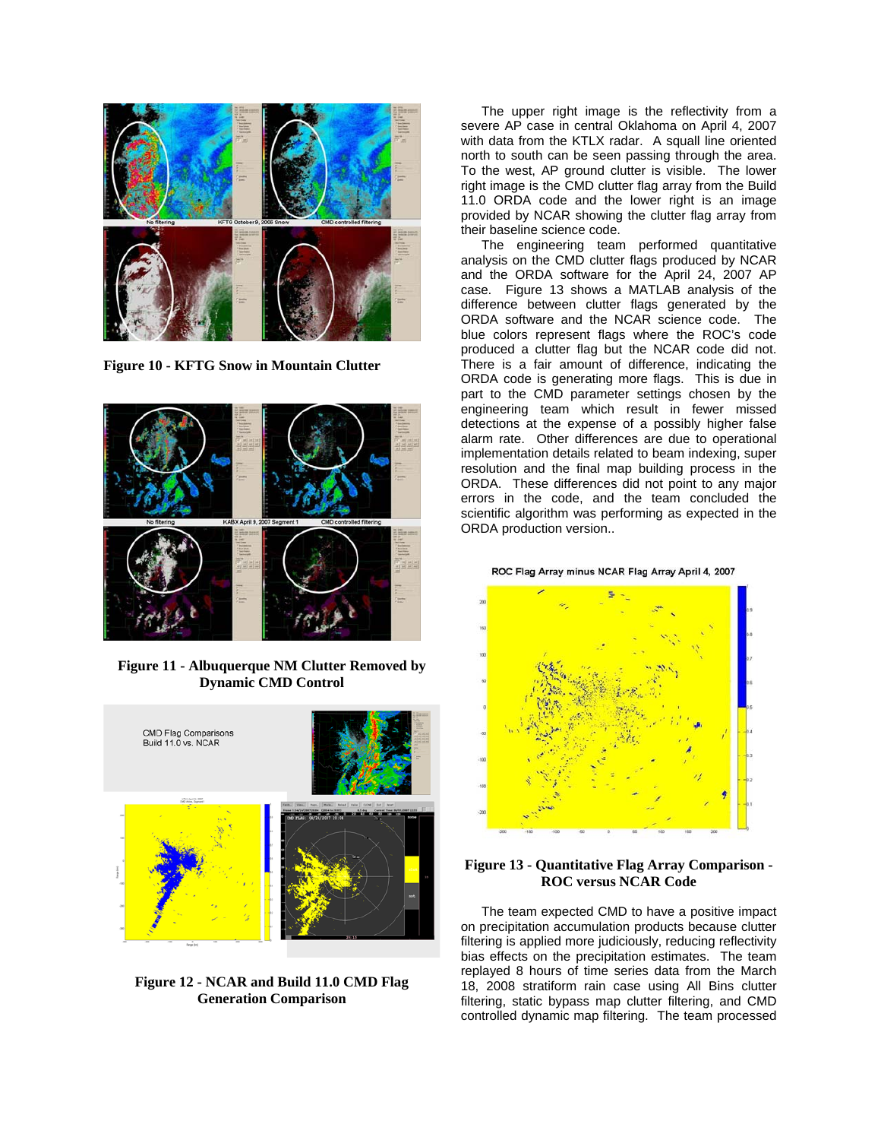

**Figure 10 - KFTG Snow in Mountain Clutter**



**Figure 11 - Albuquerque NM Clutter Removed by Dynamic CMD Control** 



**Figure 12 - NCAR and Build 11.0 CMD Flag Generation Comparison** 

The upper right image is the reflectivity from a severe AP case in central Oklahoma on April 4, 2007 with data from the KTLX radar. A squall line oriented north to south can be seen passing through the area. To the west, AP ground clutter is visible. The lower right image is the CMD clutter flag array from the Build 11.0 ORDA code and the lower right is an image provided by NCAR showing the clutter flag array from their baseline science code.

The engineering team performed quantitative analysis on the CMD clutter flags produced by NCAR and the ORDA software for the April 24, 2007 AP case. Figure 13 shows a MATLAB analysis of the difference between clutter flags generated by the ORDA software and the NCAR science code. The blue colors represent flags where the ROC's code produced a clutter flag but the NCAR code did not. There is a fair amount of difference, indicating the ORDA code is generating more flags. This is due in part to the CMD parameter settings chosen by the engineering team which result in fewer missed detections at the expense of a possibly higher false alarm rate. Other differences are due to operational implementation details related to beam indexing, super resolution and the final map building process in the ORDA. These differences did not point to any major errors in the code, and the team concluded the scientific algorithm was performing as expected in the ORDA production version..

ROC Flag Array minus NCAR Flag Array April 4, 2007



# **Figure 13 - Quantitative Flag Array Comparison - ROC versus NCAR Code**

The team expected CMD to have a positive impact on precipitation accumulation products because clutter filtering is applied more judiciously, reducing reflectivity bias effects on the precipitation estimates. The team replayed 8 hours of time series data from the March 18, 2008 stratiform rain case using All Bins clutter filtering, static bypass map clutter filtering, and CMD controlled dynamic map filtering. The team processed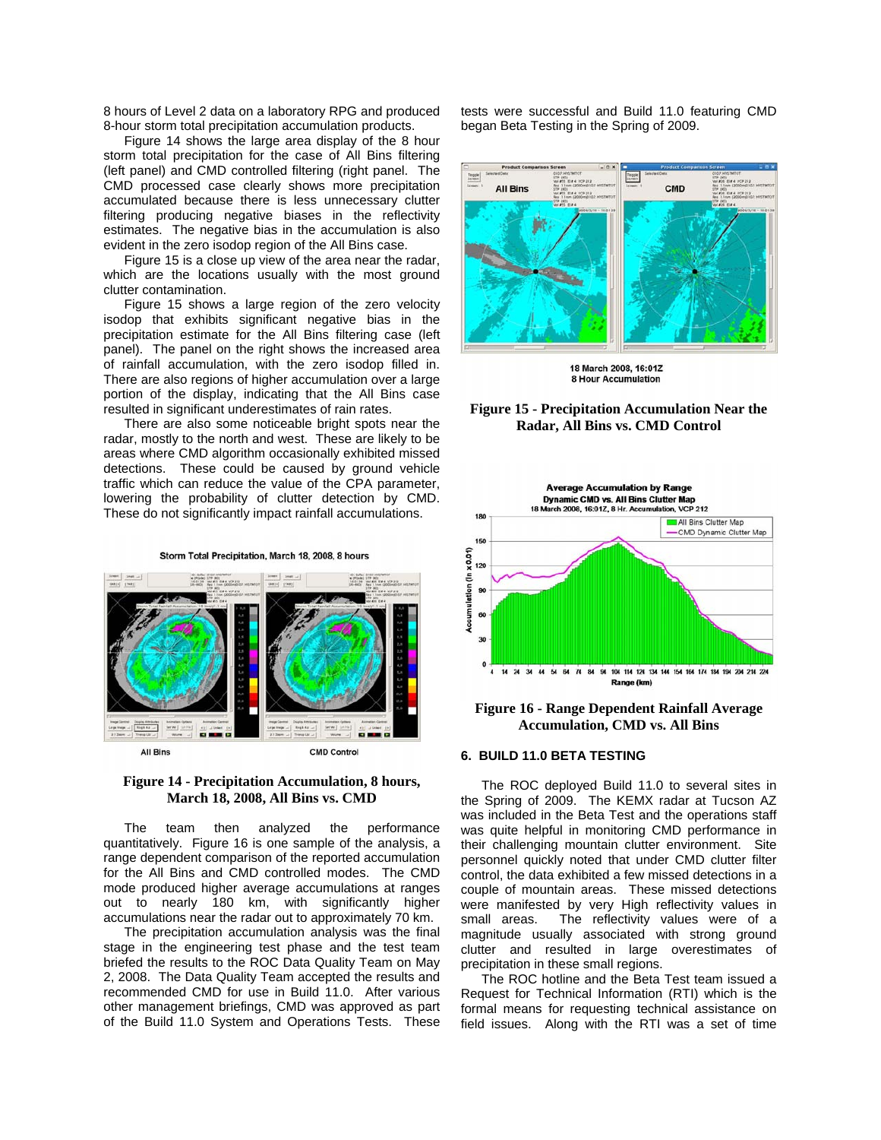8 hours of Level 2 data on a laboratory RPG and produced 8-hour storm total precipitation accumulation products.

Figure 14 shows the large area display of the 8 hour storm total precipitation for the case of All Bins filtering (left panel) and CMD controlled filtering (right panel. The CMD processed case clearly shows more precipitation accumulated because there is less unnecessary clutter filtering producing negative biases in the reflectivity estimates. The negative bias in the accumulation is also evident in the zero isodop region of the All Bins case.

Figure 15 is a close up view of the area near the radar, which are the locations usually with the most ground clutter contamination.

Figure 15 shows a large region of the zero velocity isodop that exhibits significant negative bias in the precipitation estimate for the All Bins filtering case (left panel). The panel on the right shows the increased area of rainfall accumulation, with the zero isodop filled in. There are also regions of higher accumulation over a large portion of the display, indicating that the All Bins case resulted in significant underestimates of rain rates.

There are also some noticeable bright spots near the radar, mostly to the north and west. These are likely to be areas where CMD algorithm occasionally exhibited missed detections. These could be caused by ground vehicle traffic which can reduce the value of the CPA parameter, lowering the probability of clutter detection by CMD. These do not significantly impact rainfall accumulations.



# **Figure 14 - Precipitation Accumulation, 8 hours, March 18, 2008, All Bins vs. CMD**

The team then analyzed the performance quantitatively. Figure 16 is one sample of the analysis, a range dependent comparison of the reported accumulation for the All Bins and CMD controlled modes. The CMD mode produced higher average accumulations at ranges out to nearly 180 km, with significantly higher accumulations near the radar out to approximately 70 km.

The precipitation accumulation analysis was the final stage in the engineering test phase and the test team briefed the results to the ROC Data Quality Team on May 2, 2008. The Data Quality Team accepted the results and recommended CMD for use in Build 11.0. After various other management briefings, CMD was approved as part of the Build 11.0 System and Operations Tests. These

tests were successful and Build 11.0 featuring CMD began Beta Testing in the Spring of 2009.



18 March 2008, 16:01Z **8 Hour Accumulation** 

#### **Figure 15 - Precipitation Accumulation Near the Radar, All Bins vs. CMD Control**



**Figure 16 - Range Dependent Rainfall Average Accumulation, CMD vs. All Bins** 

### **6. BUILD 11.0 BETA TESTING**

The ROC deployed Build 11.0 to several sites in the Spring of 2009. The KEMX radar at Tucson AZ was included in the Beta Test and the operations staff was quite helpful in monitoring CMD performance in their challenging mountain clutter environment. Site personnel quickly noted that under CMD clutter filter control, the data exhibited a few missed detections in a couple of mountain areas. These missed detections were manifested by very High reflectivity values in small areas. The reflectivity values were of a magnitude usually associated with strong ground clutter and resulted in large overestimates of precipitation in these small regions.

The ROC hotline and the Beta Test team issued a Request for Technical Information (RTI) which is the formal means for requesting technical assistance on field issues. Along with the RTI was a set of time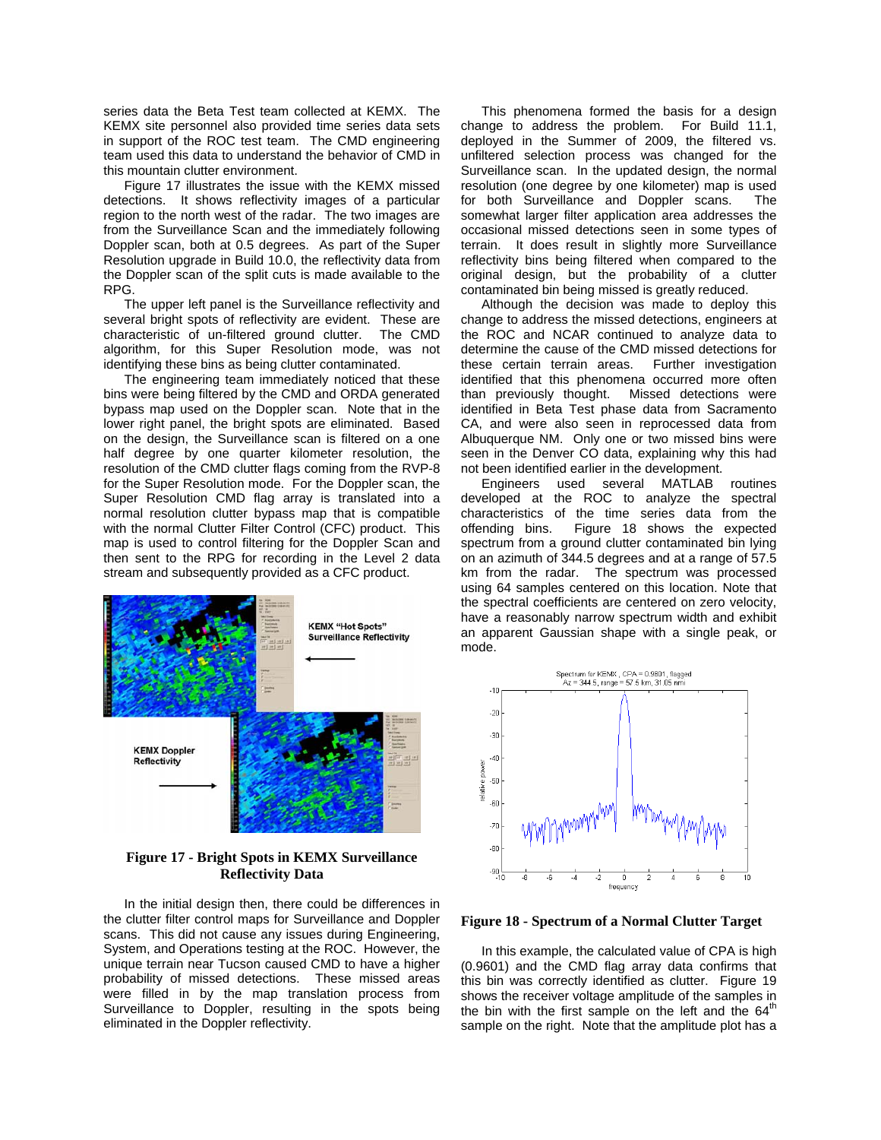series data the Beta Test team collected at KEMX. The KEMX site personnel also provided time series data sets in support of the ROC test team. The CMD engineering team used this data to understand the behavior of CMD in this mountain clutter environment.

Figure 17 illustrates the issue with the KEMX missed detections. It shows reflectivity images of a particular region to the north west of the radar. The two images are from the Surveillance Scan and the immediately following Doppler scan, both at 0.5 degrees. As part of the Super Resolution upgrade in Build 10.0, the reflectivity data from the Doppler scan of the split cuts is made available to the RPG.

The upper left panel is the Surveillance reflectivity and several bright spots of reflectivity are evident. These are characteristic of un-filtered ground clutter. The CMD algorithm, for this Super Resolution mode, was not identifying these bins as being clutter contaminated.

The engineering team immediately noticed that these bins were being filtered by the CMD and ORDA generated bypass map used on the Doppler scan. Note that in the lower right panel, the bright spots are eliminated. Based on the design, the Surveillance scan is filtered on a one half degree by one quarter kilometer resolution, the resolution of the CMD clutter flags coming from the RVP-8 for the Super Resolution mode. For the Doppler scan, the Super Resolution CMD flag array is translated into a normal resolution clutter bypass map that is compatible with the normal Clutter Filter Control (CFC) product. This map is used to control filtering for the Doppler Scan and then sent to the RPG for recording in the Level 2 data stream and subsequently provided as a CFC product.



### **Figure 17 - Bright Spots in KEMX Surveillance Reflectivity Data**

In the initial design then, there could be differences in the clutter filter control maps for Surveillance and Doppler scans. This did not cause any issues during Engineering, System, and Operations testing at the ROC. However, the unique terrain near Tucson caused CMD to have a higher probability of missed detections. These missed areas were filled in by the map translation process from Surveillance to Doppler, resulting in the spots being eliminated in the Doppler reflectivity.

This phenomena formed the basis for a design change to address the problem. For Build 11.1, deployed in the Summer of 2009, the filtered vs. unfiltered selection process was changed for the Surveillance scan. In the updated design, the normal resolution (one degree by one kilometer) map is used for both Surveillance and Doppler scans. The somewhat larger filter application area addresses the occasional missed detections seen in some types of terrain. It does result in slightly more Surveillance reflectivity bins being filtered when compared to the original design, but the probability of a clutter contaminated bin being missed is greatly reduced.

Although the decision was made to deploy this change to address the missed detections, engineers at the ROC and NCAR continued to analyze data to determine the cause of the CMD missed detections for these certain terrain areas. Further investigation identified that this phenomena occurred more often than previously thought. Missed detections were identified in Beta Test phase data from Sacramento CA, and were also seen in reprocessed data from Albuquerque NM. Only one or two missed bins were seen in the Denver CO data, explaining why this had not been identified earlier in the development.

Engineers used several MATLAB routines developed at the ROC to analyze the spectral characteristics of the time series data from the offending bins. Figure 18 shows the expected spectrum from a ground clutter contaminated bin lying on an azimuth of 344.5 degrees and at a range of 57.5 km from the radar. The spectrum was processed using 64 samples centered on this location. Note that the spectral coefficients are centered on zero velocity, have a reasonably narrow spectrum width and exhibit an apparent Gaussian shape with a single peak, or mode.



**Figure 18 - Spectrum of a Normal Clutter Target** 

In this example, the calculated value of CPA is high (0.9601) and the CMD flag array data confirms that this bin was correctly identified as clutter. Figure 19 shows the receiver voltage amplitude of the samples in the bin with the first sample on the left and the  $64<sup>th</sup>$ sample on the right. Note that the amplitude plot has a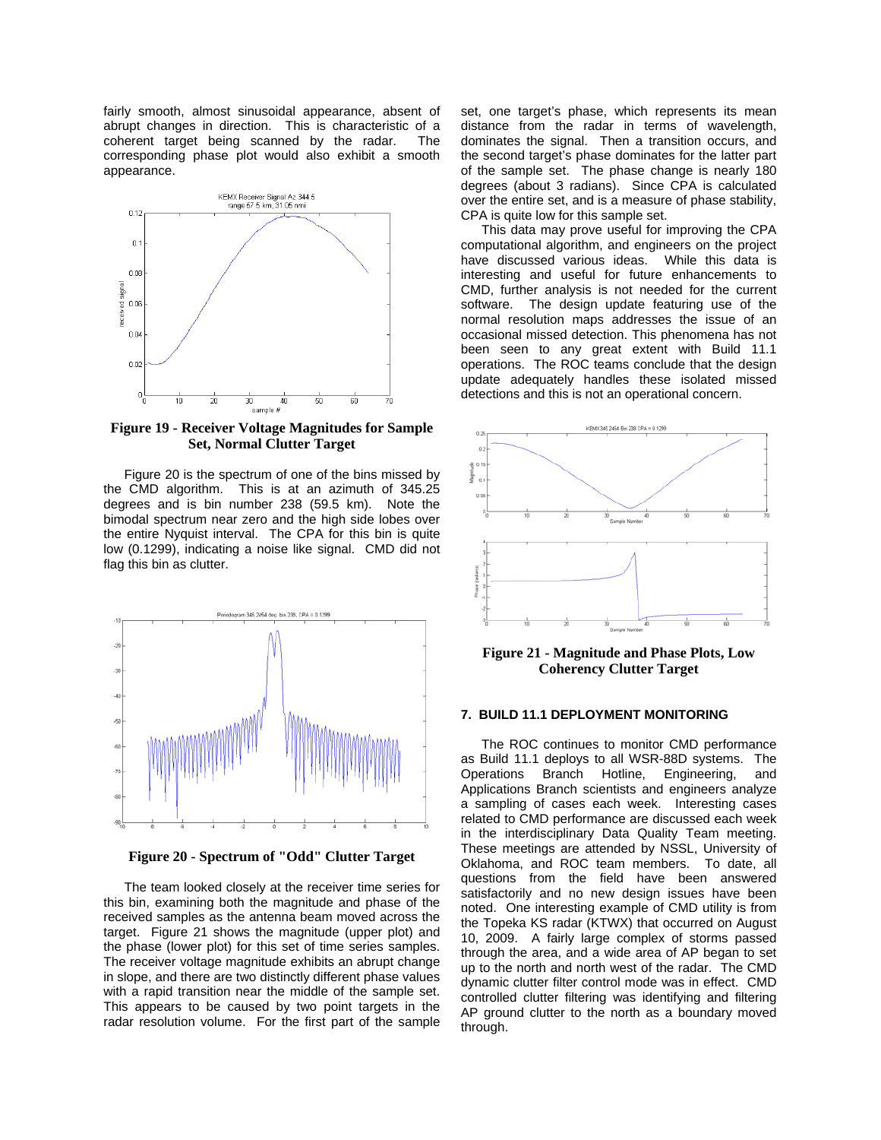fairly smooth, almost sinusoidal appearance, absent of abrupt changes in direction. This is characteristic of a coherent target being scanned by the radar. The corresponding phase plot would also exhibit a smooth appearance.



**Figure 19 - Receiver Voltage Magnitudes for Sample Set, Normal Clutter Target** 

Figure 20 is the spectrum of one of the bins missed by the CMD algorithm. This is at an azimuth of 345.25 degrees and is bin number 238 (59.5 km). Note the bimodal spectrum near zero and the high side lobes over the entire Nyquist interval. The CPA for this bin is quite low (0.1299), indicating a noise like signal. CMD did not flag this bin as clutter.



**Figure 20 - Spectrum of "Odd" Clutter Target** 

The team looked closely at the receiver time series for this bin, examining both the magnitude and phase of the received samples as the antenna beam moved across the target. Figure 21 shows the magnitude (upper plot) and the phase (lower plot) for this set of time series samples. The receiver voltage magnitude exhibits an abrupt change in slope, and there are two distinctly different phase values with a rapid transition near the middle of the sample set. This appears to be caused by two point targets in the radar resolution volume. For the first part of the sample set, one target's phase, which represents its mean distance from the radar in terms of wavelength, dominates the signal. Then a transition occurs, and the second target's phase dominates for the latter part of the sample set. The phase change is nearly 180 degrees (about 3 radians). Since CPA is calculated over the entire set, and is a measure of phase stability, CPA is quite low for this sample set.

This data may prove useful for improving the CPA computational algorithm, and engineers on the project have discussed various ideas. While this data is interesting and useful for future enhancements to CMD, further analysis is not needed for the current software. The design update featuring use of the normal resolution maps addresses the issue of an occasional missed detection. This phenomena has not been seen to any great extent with Build 11.1 operations. The ROC teams conclude that the design update adequately handles these isolated missed detections and this is not an operational concern.



**Figure 21 - Magnitude and Phase Plots, Low Coherency Clutter Target** 

#### **7. BUILD 11.1 DEPLOYMENT MONITORING**

The ROC continues to monitor CMD performance as Build 11.1 deploys to all WSR-88D systems. The Operations Branch Hotline, Engineering, and Applications Branch scientists and engineers analyze a sampling of cases each week. Interesting cases related to CMD performance are discussed each week in the interdisciplinary Data Quality Team meeting. These meetings are attended by NSSL, University of Oklahoma, and ROC team members. To date, all questions from the field have been answered satisfactorily and no new design issues have been noted. One interesting example of CMD utility is from the Topeka KS radar (KTWX) that occurred on August 10, 2009. A fairly large complex of storms passed through the area, and a wide area of AP began to set up to the north and north west of the radar. The CMD dynamic clutter filter control mode was in effect. CMD controlled clutter filtering was identifying and filtering AP ground clutter to the north as a boundary moved through.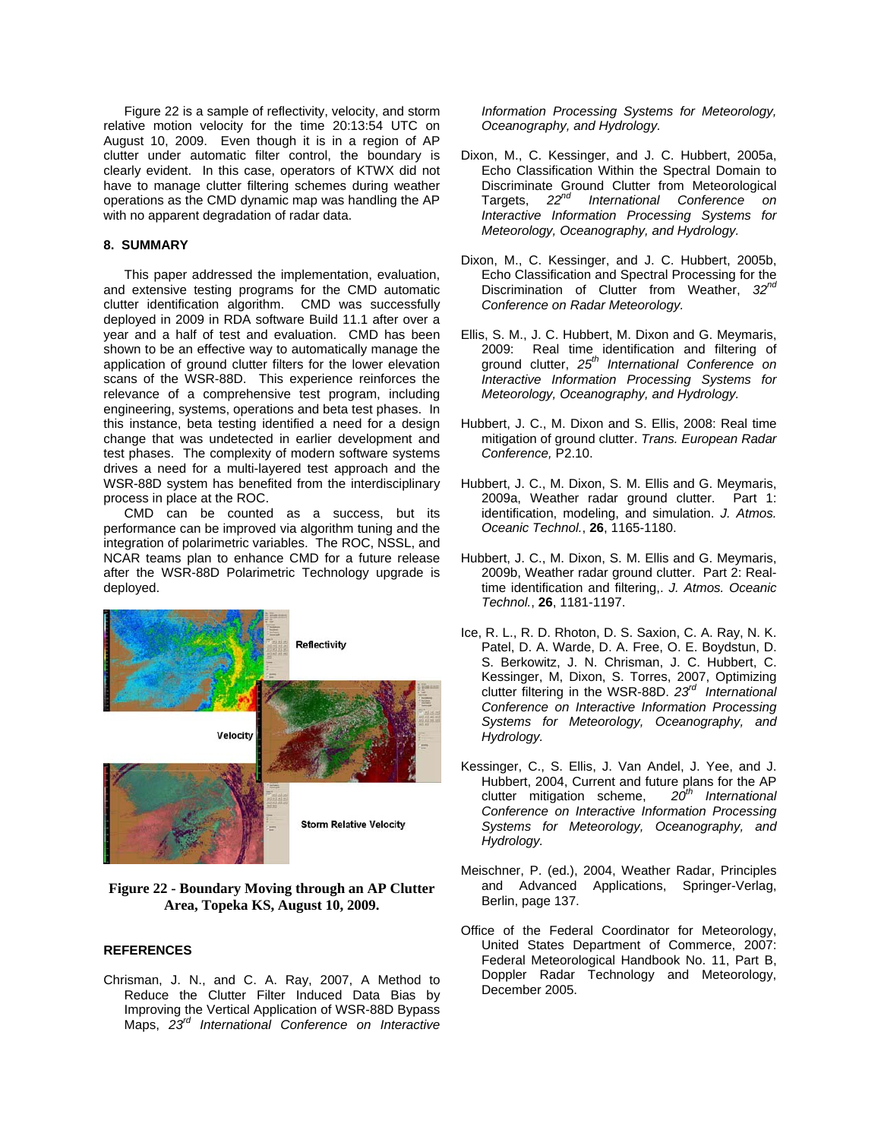Figure 22 is a sample of reflectivity, velocity, and storm relative motion velocity for the time 20:13:54 UTC on August 10, 2009. Even though it is in a region of AP clutter under automatic filter control, the boundary is clearly evident. In this case, operators of KTWX did not have to manage clutter filtering schemes during weather operations as the CMD dynamic map was handling the AP with no apparent degradation of radar data.

# **8. SUMMARY**

This paper addressed the implementation, evaluation, and extensive testing programs for the CMD automatic clutter identification algorithm. CMD was successfully deployed in 2009 in RDA software Build 11.1 after over a year and a half of test and evaluation. CMD has been shown to be an effective way to automatically manage the application of ground clutter filters for the lower elevation scans of the WSR-88D. This experience reinforces the relevance of a comprehensive test program, including engineering, systems, operations and beta test phases. In this instance, beta testing identified a need for a design change that was undetected in earlier development and test phases. The complexity of modern software systems drives a need for a multi-layered test approach and the WSR-88D system has benefited from the interdisciplinary process in place at the ROC.

CMD can be counted as a success, but its performance can be improved via algorithm tuning and the integration of polarimetric variables. The ROC, NSSL, and NCAR teams plan to enhance CMD for a future release after the WSR-88D Polarimetric Technology upgrade is deployed.



**Figure 22 - Boundary Moving through an AP Clutter Area, Topeka KS, August 10, 2009.** 

#### **REFERENCES**

Chrisman, J. N., and C. A. Ray, 2007, A Method to Reduce the Clutter Filter Induced Data Bias by Improving the Vertical Application of WSR-88D Bypass Maps, *23rd International Conference on Interactive*  *Information Processing Systems for Meteorology, Oceanography, and Hydrology.*

- Dixon, M., C. Kessinger, and J. C. Hubbert, 2005a, Echo Classification Within the Spectral Domain to Discriminate Ground Clutter from Meteorological Targets, *22nd International Conference on Interactive Information Processing Systems for Meteorology, Oceanography, and Hydrology.*
- Dixon, M., C. Kessinger, and J. C. Hubbert, 2005b, Echo Classification and Spectral Processing for the Discrimination of Clutter from Weather, *32nd Conference on Radar Meteorology.*
- Ellis, S. M., J. C. Hubbert, M. Dixon and G. Meymaris, 2009: Real time identification and filtering of ground clutter, *25th International Conference on Interactive Information Processing Systems for Meteorology, Oceanography, and Hydrology.*
- Hubbert, J. C., M. Dixon and S. Ellis, 2008: Real time mitigation of ground clutter. *Trans. European Radar Conference,* P2.10.
- Hubbert, J. C., M. Dixon, S. M. Ellis and G. Meymaris, 2009a, Weather radar ground clutter. Part 1: identification, modeling, and simulation. *J. Atmos. Oceanic Technol.*, **26**, 1165-1180.
- Hubbert, J. C., M. Dixon, S. M. Ellis and G. Meymaris, 2009b, Weather radar ground clutter. Part 2: Realtime identification and filtering,. *J. Atmos. Oceanic Technol.*, **26**, 1181-1197.
- Ice, R. L., R. D. Rhoton, D. S. Saxion, C. A. Ray, N. K. Patel, D. A. Warde, D. A. Free, O. E. Boydstun, D. S. Berkowitz, J. N. Chrisman, J. C. Hubbert, C. Kessinger, M, Dixon, S. Torres, 2007, Optimizing clutter filtering in the WSR-88D. *23rd International Conference on Interactive Information Processing Systems for Meteorology, Oceanography, and Hydrology.*
- Kessinger, C., S. Ellis, J. Van Andel, J. Yee, and J. Hubbert, 2004, Current and future plans for the AP clutter mitigation scheme,  $20^{th}$  International clutter mitigation scheme, *Conference on Interactive Information Processing Systems for Meteorology, Oceanography, and Hydrology.*
- Meischner, P. (ed.), 2004, Weather Radar, Principles and Advanced Applications, Springer-Verlag, Berlin, page 137.
- Office of the Federal Coordinator for Meteorology, United States Department of Commerce, 2007: Federal Meteorological Handbook No. 11, Part B, Doppler Radar Technology and Meteorology, December 2005.